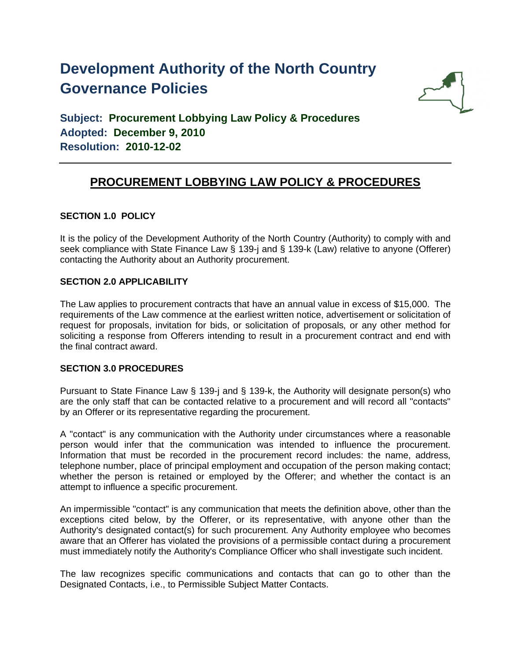# **Development Authority of the North Country Governance Policies**



**Subject: Procurement Lobbying Law Policy & Procedures Adopted: December 9, 2010 Resolution: 2010-12-02**

# **PROCUREMENT LOBBYING LAW POLICY & PROCEDURES**

## **SECTION 1.0 POLICY**

It is the policy of the Development Authority of the North Country (Authority) to comply with and seek compliance with State Finance Law § 139-j and § 139-k (Law) relative to anyone (Offerer) contacting the Authority about an Authority procurement.

### **SECTION 2.0 APPLICABILITY**

The Law applies to procurement contracts that have an annual value in excess of \$15,000. The requirements of the Law commence at the earliest written notice, advertisement or solicitation of request for proposals, invitation for bids, or solicitation of proposals, or any other method for soliciting a response from Offerers intending to result in a procurement contract and end with the final contract award.

### **SECTION 3.0 PROCEDURES**

Pursuant to State Finance Law § 139-j and § 139-k, the Authority will designate person(s) who are the only staff that can be contacted relative to a procurement and will record all "contacts" by an Offerer or its representative regarding the procurement.

A "contact" is any communication with the Authority under circumstances where a reasonable person would infer that the communication was intended to influence the procurement. Information that must be recorded in the procurement record includes: the name, address, telephone number, place of principal employment and occupation of the person making contact; whether the person is retained or employed by the Offerer; and whether the contact is an attempt to influence a specific procurement.

An impermissible "contact" is any communication that meets the definition above, other than the exceptions cited below, by the Offerer, or its representative, with anyone other than the Authority's designated contact(s) for such procurement. Any Authority employee who becomes aware that an Offerer has violated the provisions of a permissible contact during a procurement must immediately notify the Authority's Compliance Officer who shall investigate such incident.

The law recognizes specific communications and contacts that can go to other than the Designated Contacts, i.e., to Permissible Subject Matter Contacts.